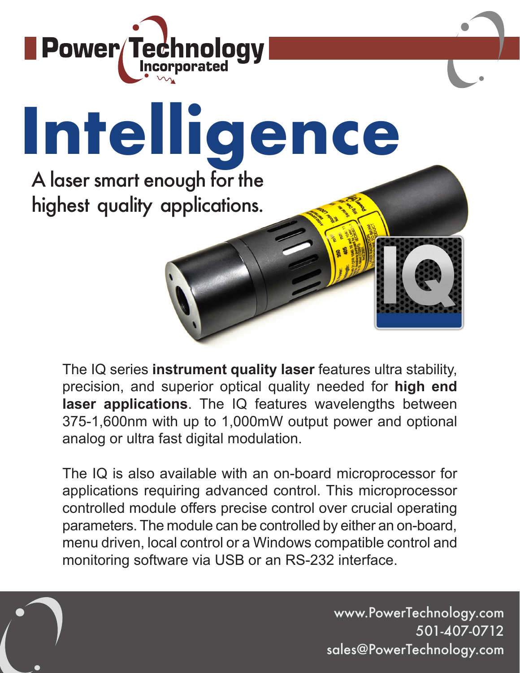

## **Intelligence** A laser smart enough for the highest quality applications.

The IQ series **instrument quality laser** features ultra stability, precision, and superior optical quality needed for **high end laser applications**. The IQ features wavelengths between 375-1,600nm with up to 1,000mW output power and optional analog or ultra fast digital modulation.

The IQ is also available with an on-board microprocessor for applications requiring advanced control. This microprocessor controlled module offers precise control over crucial operating parameters. The module can be controlled by either an on-board, menu driven, local control or a Windows compatible control and monitoring software via USB or an RS-232 interface.

www.PowerTechnology.com 501-407-0712 sales@PowerTechnology.com